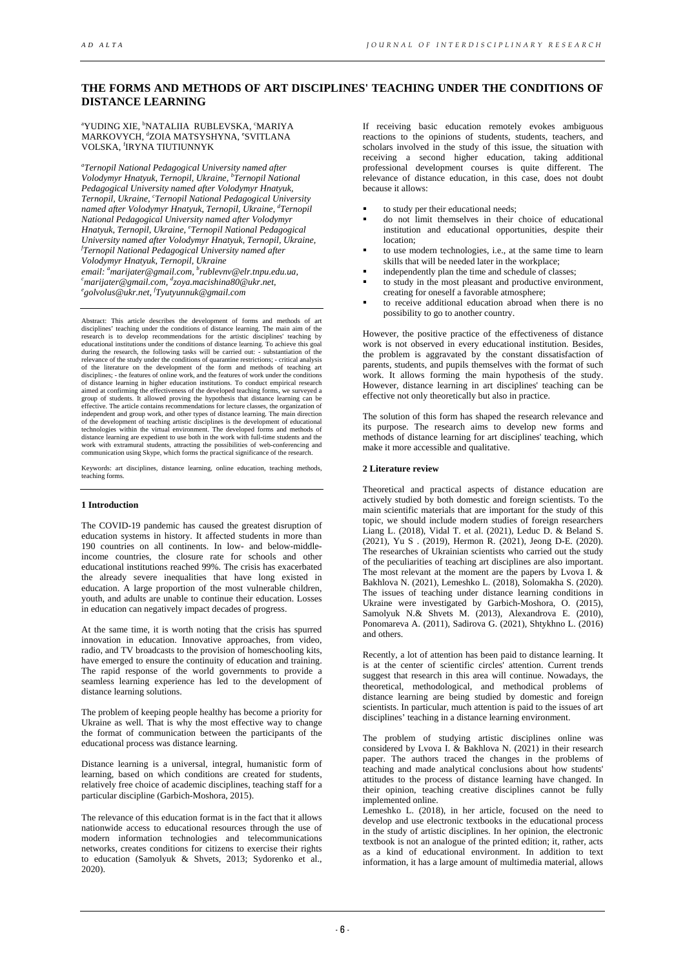# **THE FORMS AND METHODS OF ART DISCIPLINES' TEACHING [UNDER THE CONDITIONS](https://www.multitran.com/m.exe?s=under+the+conditions&l1=1&l2=2) OF DISTANCE LEARNING**

<sup>a</sup>YUDING XIE, <sup>b</sup>NATALIIA RUBLEVSKA, <sup>c</sup>MARIYA MARKOVYCH, <sup>d</sup>ZOIA MATSYSHYNA, °SVITLANA VOLSKA, <sup>f</sup> IRYNA TIUTIUNNYK

*a Ternopil National Pedagogical University named after Volodymyr Hnatyuk, Ternopil, Ukraine, b Ternopil National Pedagogical University named after Volodymyr Hnatyuk, Ternopil, Ukraine, c Ternopil National Pedagogical University named after Volodymyr Hnatyuk, Ternopil, Ukraine, d Ternopil National Pedagogical University named after Volodymyr Hnatyuk, Ternopil, Ukraine, e Ternopil National Pedagogical University named after Volodymyr Hnatyuk, Ternopil, Ukraine, f Ternopil National Pedagogical University named after email: marijater@gmail.com, b [rublevnv@elr.tnpu.edu.ua,](mailto:rublevnv@elr.tnpu.edu.ua) c Volodymyr Hnatyuk, Ternopil, Ukraine <sup>a</sup> marijater@gmail.com, d [zoya.macishina80@ukr.net,](mailto:zoya.macishina80@ukr.net) [e](mailto:marijater@gmail.com) [golvolus@ukr.net,](mailto:golvolus@ukr.net) f [Tyutyunnuk@gmail.com](mailto:fTyutyunnuk@gmail.com)*

Abstract: This article describes the development of forms and methods of art disciplines' teaching under the conditions of distance learning. The main aim of the research is to develop recommendations for the artistic disciplines' teaching by educational institutions under the conditions of distance learning. To achieve this goal during the research, the following tasks will be carried out: - substantiation of the relevance of the study under the conditions of quarantine restrictions; - critical analysis<br>of the literature on the development of the form and methods of teaching art<br>disciplines; - the features of online work, and the f of distance learning in higher education institutions. To conduct empirical research aimed at confirming the effectiveness of the developed teaching forms, we surveyed a group of students. It allowed proving the hypothesis that distance learning can be effective. The article contains recommendations for lecture classes, the organization of independent and group work, and other types of distance learning. The main direction<br>of the development of teaching artistic disciplines is the development of educational<br>technologies within the virtual environment. The de distance learning are expedient to use both in the work with full-time students and the work with extramural students, attracting the possibilities of web-conferencing and communication using Skype, which forms the practical significance of the research.

Keywords: art disciplines, distance learning, online education, teaching methods, teaching form

#### **1 Introduction**

The COVID-19 pandemic has caused the greatest disruption of education systems in history. It affected students in more than 190 countries on all continents. In low- and below-middleincome countries, the closure rate for schools and other educational institutions reached 99%. The crisis has exacerbated the already severe inequalities that have long existed in education. A large proportion of the most vulnerable children, youth, and adults are unable to continue their education. Losses in education can negatively impact decades of progress.

At the same time, it is worth noting that the crisis has spurred innovation in education. Innovative approaches, from video, radio, and TV broadcasts to the provision of homeschooling kits, have emerged to ensure the continuity of education and training. The rapid response of the world governments to provide a seamless learning experience has led to the development of distance learning solutions.

The problem of keeping people healthy has become a priority for Ukraine as well. That is why the most effective way to change the format of communication between the participants of the educational process was distance learning.

Distance learning is a universal, integral, humanistic form of learning, based on which conditions are created for students, relatively free choice of academic disciplines, teaching staff for a particular discipline (Garbich-Moshora, 2015).

The relevance of this education format is in the fact that it allows nationwide access to educational resources through the use of modern information technologies and telecommunications networks, creates conditions for citizens to exercise their rights to education (Samolyuk & Shvets, 2013; Sydorenko et al., 2020).

If receiving basic education remotely evokes ambiguous reactions to the opinions of students, students, teachers, and scholars involved in the study of this issue, the situation with receiving a second higher education, taking additional professional development courses is quite different. The relevance of distance education, in this case, does not doubt because it allows:

- to study per their educational needs;
- do not limit themselves in their choice of educational institution and educational opportunities, despite their location;
- to use modern technologies, i.e., at the same time to learn skills that will be needed later in the workplace;
- independently plan the time and schedule of classes;
- to study in the most pleasant and productive environment, creating for oneself a favorable atmosphere;
- to receive additional education abroad when there is no possibility to go to another country.

However, the positive practice of the effectiveness of distance work is not observed in every educational institution. Besides, the problem is aggravated by the constant dissatisfaction of parents, students, and pupils themselves with the format of such work. It allows forming the main hypothesis of the study. However, distance learning in art disciplines' teaching can be effective not only theoretically but also in practice.

The solution of this form has shaped the research relevance and its purpose. The research aims to develop new forms and methods of distance learning for art disciplines' teaching, which make it more accessible and qualitative.

### **2 Literature review**

Theoretical and practical aspects of distance education are actively studied by both domestic and foreign scientists. To the main scientific materials that are important for the study of this topic, we should include modern studies of foreign researchers Liang L. (2018), Vidal T. et al. (2021), Leduc D. & Beland S. (2021), Yu S . (2019), Hermon R. (2021), Jeong D-E. (2020). The researches of Ukrainian scientists who carried out the study of the peculiarities of teaching art disciplines are also important. The most relevant at the moment are the papers by Lvova I. & Bakhlova N. (2021), Lemeshko L. (2018), Solomakha S. (2020). The issues of teaching under distance learning conditions in Ukraine were investigated by Garbich-Moshora, O. (2015), Samolyuk N.& Shvets M. (2013), Alexandrova E. (2010), Ponomareva A. (2011), Sadirova G. (2021), Shtykhno L. (2016) and others.

Recently, a lot of attention has been paid to distance learning. It is at the center of scientific circles' attention. Current trends suggest that research in this area will continue. Nowadays, the theoretical, methodological, and methodical problems of distance learning are being studied by domestic and foreign scientists. In particular, much attention is paid to the issues of art disciplines' teaching in a distance learning environment.

The problem of studying artistic disciplines online was considered by Lvova I. & Bakhlova N. (2021) in their research paper. The authors traced the changes in the problems of teaching and made analytical conclusions about how students' attitudes to the process of distance learning have changed. In their opinion, teaching creative disciplines cannot be fully implemented online.

Lemeshko L. (2018), in her article, focused on the need to develop and use electronic textbooks in the educational process in the study of artistic disciplines. In her opinion, the electronic textbook is not an analogue of the printed edition; it, rather, acts as a kind of educational environment. In addition to text information, it has a large amount of multimedia material, allows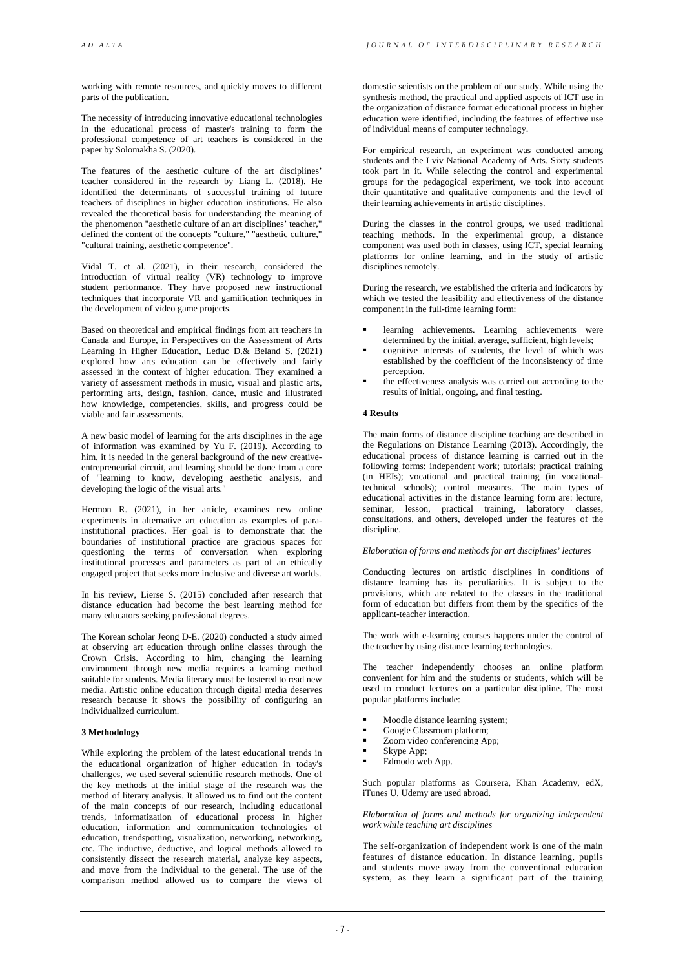working with remote resources, and quickly moves to different parts of the publication.

The necessity of introducing innovative educational technologies in the educational process of master's training to form the professional competence of art teachers is considered in the paper by Solomakha S. (2020).

The features of the aesthetic culture of the art disciplines' teacher considered in the research by Liang L.  $(2018)$ . He identified the determinants of successful training of future teachers of disciplines in higher education institutions. He also revealed the theoretical basis for understanding the meaning of the phenomenon "aesthetic culture of an art disciplines' teacher," defined the content of the concepts "culture," "aesthetic culture," "cultural training, aesthetic competence".

Vidal T. et al. (2021), in their research, considered the introduction of virtual reality (VR) technology to improve student performance. They have proposed new instructional techniques that incorporate VR and gamification techniques in the development of video game projects.

Based on theoretical and empirical findings from art teachers in Canada and Europe, in Perspectives on the Assessment of Arts Learning in Higher Education, Leduc D.& Beland S. (2021) explored how arts education can be effectively and fairly assessed in the context of higher education. They examined a variety of assessment methods in music, visual and plastic arts, performing arts, design, fashion, dance, music and illustrated how knowledge, competencies, skills, and progress could be viable and fair assessments.

A new basic model of learning for the arts disciplines in the age of information was examined by Yu F. (2019). According to him, it is needed in the general background of the new creativeentrepreneurial circuit, and learning should be done from a core of "learning to know, developing aesthetic analysis, and developing the logic of the visual arts."

Hermon R. (2021), in her article, examines new online experiments in alternative art education as examples of parainstitutional practices. Her goal is to demonstrate that the boundaries of institutional practice are gracious spaces for questioning the terms of conversation when exploring institutional processes and parameters as part of an ethically engaged project that seeks more inclusive and diverse art worlds.

In his review, Lierse S. (2015) concluded after research that distance education had become the best learning method for many educators seeking professional degrees.

The Korean scholar Jeong D-E. (2020) conducted a study aimed at observing art education through online classes through the Crown Crisis. According to him, changing the learning environment through new media requires a learning method suitable for students. Media literacy must be fostered to read new media. Artistic online education through digital media deserves research because it shows the possibility of configuring an individualized curriculum.

#### **3 Methodology**

While exploring the problem of the latest educational trends in the educational organization of higher education in today's challenges, we used several scientific research methods. One of the key methods at the initial stage of the research was the method of literary analysis. It allowed us to find out the content of the main concepts of our research, including educational trends, informatization of educational process in higher education, information and communication technologies of education, trendspotting, visualization, networking, networking, etc. The inductive, deductive, and logical methods allowed to consistently dissect the research material, analyze key aspects, and move from the individual to the general. The use of the comparison method allowed us to compare the views of

domestic scientists on the problem of our study. While using the synthesis method, the practical and applied aspects of ICT use in the organization of distance format educational process in higher education were identified, including the features of effective use of individual means of computer technology.

For empirical research, an experiment was conducted among students and the Lviv National Academy of Arts. Sixty students took part in it. While selecting the control and experimental groups for the pedagogical experiment, we took into account their quantitative and qualitative components and the level of their learning achievements in artistic disciplines.

During the classes in the control groups, we used traditional teaching methods. In the experimental group, a distance component was used both in classes, using ICT, special learning platforms for online learning, and in the study of artistic disciplines remotely.

During the research, we established the criteria and indicators by which we tested the feasibility and effectiveness of the distance component in the full-time learning form:

- **IDENTIFY 2018 21 FERRISH Learning** achievements were determined by the initial, average, sufficient, high levels;
- cognitive interests of students, the level of which was established by the coefficient of the inconsistency of time perception.
- the effectiveness analysis was carried out according to the results of initial, ongoing, and final testing.

## **4 Results**

The main forms of distance discipline teaching are described in the Regulations on Distance Learning (2013). Accordingly, the educational process of distance learning is carried out in the following forms: independent work; tutorials; practical training (in HEIs); vocational and practical training (in vocationaltechnical schools); control measures. The main types of educational activities in the distance learning form are: lecture, seminar, lesson, practical training, laboratory classes, consultations, and others, developed under the features of the discipline.

## *Elaboration of forms and methods for art disciplines' lectures*

Conducting lectures on artistic disciplines in conditions of distance learning has its peculiarities. It is subject to the provisions, which are related to the classes in the traditional form of education but differs from them by the specifics of the applicant-teacher interaction.

The work with e-learning courses happens under the control of the teacher by using distance learning technologies.

The teacher independently chooses an online platform convenient for him and the students or students, which will be used to conduct lectures on a particular discipline. The most popular platforms include:

- Moodle distance learning system;
- Google Classroom platform;
- Zoom video conferencing App;
- Skype App;
- Edmodo web App.

Such popular platforms as Coursera, Khan Academy, edX, iTunes U, Udemy are used abroad.

*Elaboration of forms and methods for organizing independent work while teaching art disciplines* 

The self-organization of independent work is one of the main features of distance education. In distance learning, pupils and students move away from the conventional education system, as they learn a significant part of the training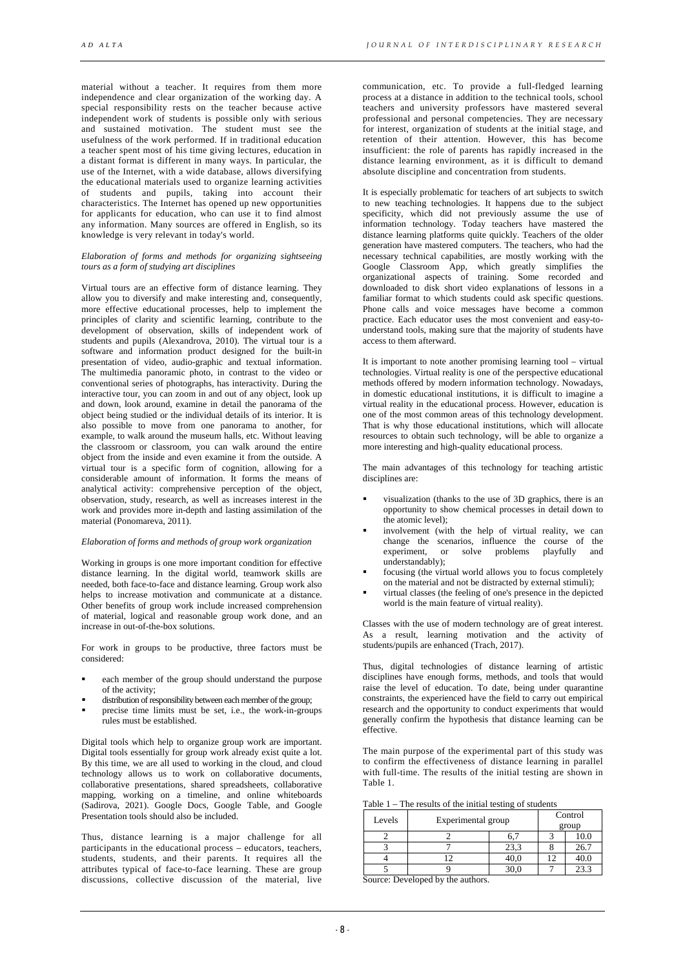*AD ALTA JOURNAL OF INTERDISC IPLINARY RESEARCH*

material without a teacher. It requires from them more independence and clear organization of the working day. A special responsibility rests on the teacher because active independent work of students is possible only with serious and sustained motivation. The student must see the usefulness of the work performed. If in traditional education a teacher spent most of his time giving lectures, education in a distant format is different in many ways. In particular, the use of the Internet, with a wide database, allows diversifying the educational materials used to organize learning activities of students and pupils, taking into account their characteristics. The Internet has opened up new opportunities for applicants for education, who can use it to find almost any information. Many sources are offered in English, so its knowledge is very relevant in today's world.

## *Elaboration of forms and methods for organizing sightseeing tours as a form of studying art disciplines*

Virtual tours are an effective form of distance learning. They allow you to diversify and make interesting and, consequently, more effective educational processes, help to implement the principles of clarity and scientific learning, contribute to the development of observation, skills of independent work of students and pupils (Alexandrova, 2010). The virtual tour is a software and information product designed for the built-in presentation of video, audio-graphic and textual information. The multimedia panoramic photo, in contrast to the video or conventional series of photographs, has interactivity. During the interactive tour, you can zoom in and out of any object, look up and down, look around, examine in detail the panorama of the object being studied or the individual details of its interior. It is also possible to move from one panorama to another, for example, to walk around the museum halls, etc. Without leaving the classroom or classroom, you can walk around the entire object from the inside and even examine it from the outside. A virtual tour is a specific form of cognition, allowing for a considerable amount of information. It forms the means of analytical activity: comprehensive perception of the object, observation, study, research, as well as increases interest in the work and provides more in-depth and lasting assimilation of the material (Ponomareva, 2011).

#### *Elaboration of forms and methods of group work organization*

Working in groups is one more important condition for effective distance learning. In the digital world, teamwork skills are needed, both face-to-face and distance learning. Group work also helps to increase motivation and communicate at a distance. Other benefits of group work include increased comprehension of material, logical and reasonable group work done, and an increase in out-of-the-box solutions.

For work in groups to be productive, three factors must be considered:

- each member of the group should understand the purpose of the activity;
- distribution of responsibility between each member of the group;
- precise time limits must be set, i.e., the work-in-groups rules must be established.

Digital tools which help to organize group work are important. Digital tools essentially for group work already exist quite a lot. By this time, we are all used to working in the cloud, and cloud technology allows us to work on collaborative documents, collaborative presentations, shared spreadsheets, collaborative mapping, working on a timeline, and online whiteboards (Sadirova, 2021). Google Docs, Google Table, and Google Presentation tools should also be included.

Thus, distance learning is a major challenge for all participants in the educational process – educators, teachers, students, students, and their parents. It requires all the attributes typical of face-to-face learning. These are group discussions, collective discussion of the material, live

communication, etc. To provide a full-fledged learning process at a distance in addition to the technical tools, school teachers and university professors have mastered several professional and personal competencies. They are necessary for interest, organization of students at the initial stage, and retention of their attention. However, this has become insufficient: the role of parents has rapidly increased in the distance learning environment, as it is difficult to demand absolute discipline and concentration from students.

It is especially problematic for teachers of art subjects to switch to new teaching technologies. It happens due to the subject specificity, which did not previously assume the use of information technology. Today teachers have mastered the distance learning platforms quite quickly. Teachers of the older generation have mastered computers. The teachers, who had the necessary technical capabilities, are mostly working with the Google Classroom App, which greatly simplifies the organizational aspects of training. Some recorded and downloaded to disk short video explanations of lessons in a familiar format to which students could ask specific questions. Phone calls and voice messages have become a common practice. Each educator uses the most convenient and easy-tounderstand tools, making sure that the majority of students have access to them afterward.

It is important to note another promising learning tool – virtual technologies. Virtual reality is one of the perspective educational methods offered by modern information technology. Nowadays, in domestic educational institutions, it is difficult to imagine a virtual reality in the educational process. However, education is one of the most common areas of this technology development. That is why those educational institutions, which will allocate resources to obtain such technology, will be able to organize a more interesting and high-quality educational process.

The main advantages of this technology for teaching artistic disciplines are:

- visualization (thanks to the use of 3D graphics, there is an opportunity to show chemical processes in detail down to the atomic level);
- involvement (with the help of virtual reality, we can change the scenarios, influence the course of the experiment, or solve problems playfully and understandably);
- focusing (the virtual world allows you to focus completely on the material and not be distracted by external stimuli);
- virtual classes (the feeling of one's presence in the depicted world is the main feature of virtual reality).

Classes with the use of modern technology are of great interest. As a result, learning motivation and the activity of students/pupils are enhanced (Trach, 2017).

Thus, digital technologies of distance learning of artistic disciplines have enough forms, methods, and tools that would raise the level of education. To date, being under quarantine constraints, the experienced have the field to carry out empirical research and the opportunity to conduct experiments that would generally confirm the hypothesis that distance learning can be effective.

The main purpose of the experimental part of this study was to confirm the effectiveness of distance learning in parallel with full-time. The results of the initial testing are shown in Table 1.

| Levels | Experimental group |      | Control<br>group |      |
|--------|--------------------|------|------------------|------|
|        |                    |      |                  | 10.0 |
|        |                    | 23,3 |                  | 26.7 |
|        |                    | 40,0 |                  | 40.0 |
|        |                    |      |                  | 23.3 |

Source: Developed by the authors.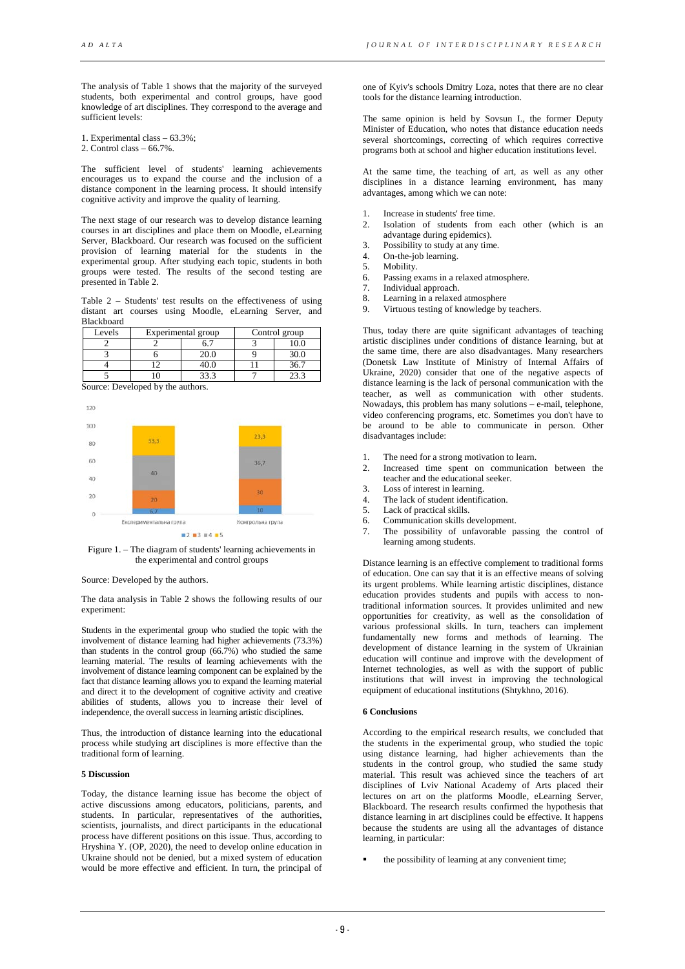The analysis of Table 1 shows that the majority of the surveyed students, both experimental and control groups, have good knowledge of art disciplines. They correspond to the average and sufficient levels:

1. Experimental class – 63.3%;

2. Control class  $-66.7\%$ .

The sufficient level of students' learning achievements encourages us to expand the course and the inclusion of a distance component in the learning process. It should intensify cognitive activity and improve the quality of learning.

The next stage of our research was to develop distance learning courses in art disciplines and place them on Moodle, eLearning Server, Blackboard. Our research was focused on the sufficient provision of learning material for the students in the experimental group. After studying each topic, students in both groups were tested. The results of the second testing are presented in Table 2.

Table 2 – Students' test results on the effectiveness of using distant art courses using Moodle, eLearning Server, and Blackboard

| Levels | Experimental group |  | Control group |      |
|--------|--------------------|--|---------------|------|
|        |                    |  |               |      |
|        |                    |  |               |      |
|        |                    |  |               | 36.7 |
|        |                    |  |               |      |

Source: Developed by the authors.



Figure 1. – The diagram of students' learning achievements in the experimental and control groups

Source: Developed by the authors.

The data analysis in Table 2 shows the following results of our experiment:

Students in the experimental group who studied the topic with the involvement of distance learning had higher achievements (73.3%) than students in the control group (66.7%) who studied the same learning material. The results of learning achievements with the involvement of distance learning component can be explained by the fact that distance learning allows you to expand the learning material and direct it to the development of cognitive activity and creative abilities of students, allows you to increase their level of independence, the overall success in learning artistic disciplines.

Thus, the introduction of distance learning into the educational process while studying art disciplines is more effective than the traditional form of learning.

# **5 Discussion**

Today, the distance learning issue has become the object of active discussions among educators, politicians, parents, and students. In particular, representatives of the authorities, scientists, journalists, and direct participants in the educational process have different positions on this issue. Thus, according to Hryshina Y. (OP, 2020), the need to develop online education in Ukraine should not be denied, but a mixed system of education would be more effective and efficient. In turn, the principal of

one of Kyiv's schools Dmitry Loza, notes that there are no clear tools for the distance learning introduction.

The same opinion is held by Sovsun I., the former Deputy Minister of Education, who notes that distance education needs several shortcomings, correcting of which requires corrective programs both at school and higher education institutions level.

At the same time, the teaching of art, as well as any other disciplines in a distance learning environment, has many advantages, among which we can note:

- 1. Increase in students' free time.
- 2. Isolation of students from each other (which is an advantage during epidemics).
- 3. Possibility to study at any time.<br>4. On-the-job learning.
- On-the-job learning.
- 5. Mobility.
- 6. Passing exams in a relaxed atmosphere.<br>7. Individual approach
- Individual approach.
- 8. Learning in a relaxed atmosphere<br>9. Virtuous testing of knowledge by Virtuous testing of knowledge by teachers.

Thus, today there are quite significant advantages of teaching artistic disciplines under conditions of distance learning, but at the same time, there are also disadvantages. Many researchers (Donetsk Law Institute of Ministry of Internal Affairs of Ukraine, 2020) consider that one of the negative aspects of distance learning is the lack of personal communication with the teacher, as well as communication with other students. Nowadays, this problem has many solutions – e-mail, telephone, video conferencing programs, etc. Sometimes you don't have to be around to be able to communicate in person. Other disadvantages include:

- 1. The need for a strong motivation to learn.
- 2. Increased time spent on communication between the teacher and the educational seeker.
- 3. Loss of interest in learning.
- 4. The lack of student identification.<br>5. Lack of practical skills.
- 5. Lack of practical skills.<br>6. Communication skills d
- Communication skills development.
- 7. The possibility of unfavorable passing the control of learning among students.

Distance learning is an effective complement to traditional forms of education. One can say that it is an effective means of solving its urgent problems. While learning artistic disciplines, distance education provides students and pupils with access to nontraditional information sources. It provides unlimited and new opportunities for creativity, as well as the consolidation of various professional skills. In turn, teachers can implement fundamentally new forms and methods of learning. The development of distance learning in the system of Ukrainian education will continue and improve with the development of Internet technologies, as well as with the support of public institutions that will invest in improving the technological equipment of educational institutions (Shtykhno, 2016).

# **6 Conclusions**

According to the empirical research results, we concluded that the students in the experimental group, who studied the topic using distance learning, had higher achievements than the students in the control group, who studied the same study material. This result was achieved since the teachers of art disciplines of Lviv National Academy of Arts placed their lectures on art on the platforms Moodle, eLearning Server, Blackboard. The research results confirmed the hypothesis that distance learning in art disciplines could be effective. It happens because the students are using all the advantages of distance learning, in particular:

the possibility of learning at any convenient time;